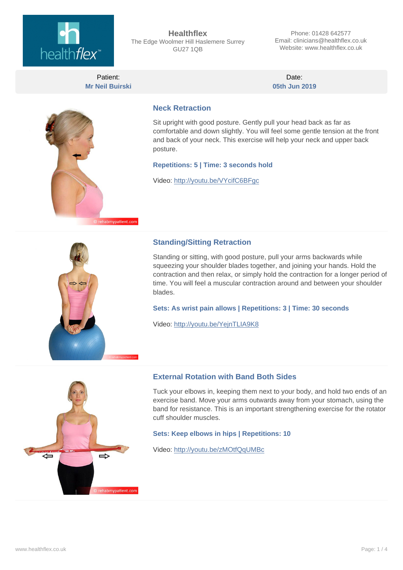

**Healthflex** The Edge Woolmer Hill Haslemere Surrey GU27 1QB

Phone: 01428 642577 Email: clinicians@healthflex.co.uk Website: www.healthflex.co.uk

Patient: **Mr Neil Buirski**

Date: **05th Jun 2019**



#### **Neck Retraction**

Sit upright with good posture. Gently pull your head back as far as comfortable and down slightly. You will feel some gentle tension at the front and back of your neck. This exercise will help your neck and upper back posture.

#### **Repetitions: 5 | Time: 3 seconds hold**

Video:<http://youtu.be/VYcifC6BFgc>



#### **Standing/Sitting Retraction**

Standing or sitting, with good posture, pull your arms backwards while squeezing your shoulder blades together, and joining your hands. Hold the contraction and then relax, or simply hold the contraction for a longer period of time. You will feel a muscular contraction around and between your shoulder blades.

#### **Sets: As wrist pain allows | Repetitions: 3 | Time: 30 seconds**

Video:<http://youtu.be/YejnTLIA9K8>



#### **External Rotation with Band Both Sides**

Tuck your elbows in, keeping them next to your body, and hold two ends of an exercise band. Move your arms outwards away from your stomach, using the band for resistance. This is an important strengthening exercise for the rotator cuff shoulder muscles.

#### **Sets: Keep elbows in hips | Repetitions: 10**

Video:<http://youtu.be/zMOtfQqUMBc>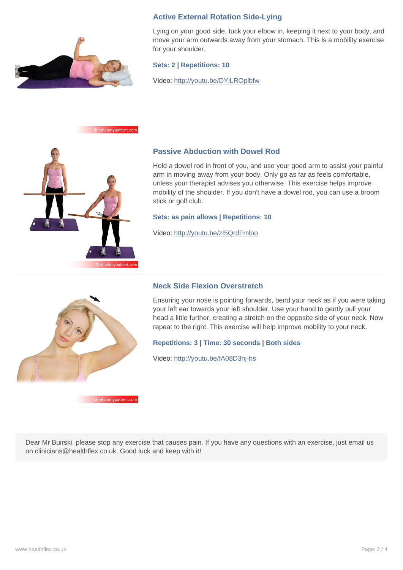

### **Active External Rotation Side-Lying**

Lying on your good side, tuck your elbow in, keeping it next to your body, and move your arm outwards away from your stomach. This is a mobility exercise for your shoulder.

#### **Sets: 2 | Repetitions: 10**

Video:<http://youtu.be/DYiLROplbfw>

#### bmypatient.co



#### **Passive Abduction with Dowel Rod**

Hold a dowel rod in front of you, and use your good arm to assist your painful arm in moving away from your body. Only go as far as feels comfortable, unless your therapist advises you otherwise. This exercise helps improve mobility of the shoulder. If you don't have a dowel rod, you can use a broom stick or golf club.

#### **Sets: as pain allows | Repetitions: 10**

Video:<http://youtu.be/zI5QrdFmloo>

### **Neck Side Flexion Overstretch**

Ensuring your nose is pointing forwards, bend your neck as if you were taking your left ear towards your left shoulder. Use your hand to gently pull your head a little further, creating a stretch on the opposite side of your neck. Now repeat to the right. This exercise will help improve mobility to your neck.

#### **Repetitions: 3 | Time: 30 seconds | Both sides**

Video:<http://youtu.be/fA08D3nj-hs>

abmypatient.com

Dear Mr Buirski, please stop any exercise that causes pain. If you have any questions with an exercise, just email us on clinicians@healthflex.co.uk. Good luck and keep with it!

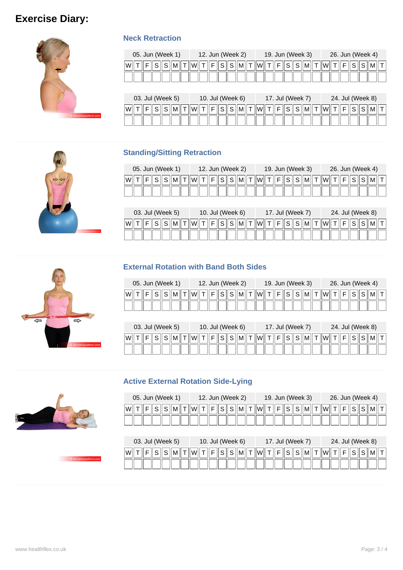# **Exercise Diary:**



### **Neck Retraction**

| 05. Jun (Week 1)                                                                      |  |  |  |  |  |  |  | 12. Jun (Week 2) |  |  |  | 19. Jun (Week 3) |  |  |  | 26. Jun (Week 4) |  |
|---------------------------------------------------------------------------------------|--|--|--|--|--|--|--|------------------|--|--|--|------------------|--|--|--|------------------|--|
| F  S  S  M  T  W  T  F  S  S  M  T  W  T  F  S  S  M  T  W  T  F  S  S  M  T <br> W T |  |  |  |  |  |  |  |                  |  |  |  |                  |  |  |  |                  |  |
|                                                                                       |  |  |  |  |  |  |  |                  |  |  |  |                  |  |  |  |                  |  |

|   | 03. Jul (Week 5)<br>$ \! \! S \! \! M \! \! T \! \! F \! \! S \! \! S \! \! M \! \! T \! \! W \! \! T \! \! S \! \! S \! \! M \! \! T \! \! S \! \! S \! \! M \! \! T \! \! S \! \! S \! \! M \! \! T \! \! S \! \! S \! \! M \! \! T \! \! S \! \! S \! \! S \! \! S \! \! S \! \! S \! \! S \! \! S \! \! S \! \! S \! \!$ |  |  |  |  |  |  | 10. Jul (Week 6) |  |  |  | 17. Jul (Week 7) |  |  |  |  | 24. Jul (Week 8) |  |
|---|------------------------------------------------------------------------------------------------------------------------------------------------------------------------------------------------------------------------------------------------------------------------------------------------------------------------------|--|--|--|--|--|--|------------------|--|--|--|------------------|--|--|--|--|------------------|--|
| W |                                                                                                                                                                                                                                                                                                                              |  |  |  |  |  |  |                  |  |  |  |                  |  |  |  |  |                  |  |
|   |                                                                                                                                                                                                                                                                                                                              |  |  |  |  |  |  |                  |  |  |  |                  |  |  |  |  |                  |  |

### **Standing/Sitting Retraction**

| 05. Jun (Week 1)                                                                                                                                                                                                                                                                                                                                                                                                                                                                                                                                                                                                          | 12. Jun (Week 2)                                              | 19. Jun (Week 3)                                | 26. Jun (Week 4)                                           |
|---------------------------------------------------------------------------------------------------------------------------------------------------------------------------------------------------------------------------------------------------------------------------------------------------------------------------------------------------------------------------------------------------------------------------------------------------------------------------------------------------------------------------------------------------------------------------------------------------------------------------|---------------------------------------------------------------|-------------------------------------------------|------------------------------------------------------------|
| $\left\vert \mathsf{M}\right\vert \left\vert \mathsf{T}\right\vert \left\vert \mathsf{W}\right\vert \left\vert \mathsf{T}% \right\vert \left\vert \mathsf{W}\right\vert \left\vert \mathsf{T}\right\vert \left\vert \mathsf{W}\right\vert \left\vert \mathsf{T}% \right\vert \left\vert \mathsf{W}\right\vert \left\vert \mathsf{T}\right\vert \left\vert \mathsf{W}\right\vert \left\vert \mathsf{T}\right\vert \left\vert \mathsf{W}\right\vert \left\vert \mathsf{T}\right\vert \left\vert \mathsf{W}\right\vert \left\vert \mathsf{T}\right\vert \left\vert \mathsf{W}\right\vert \left\vert \$<br>lWl<br>S<br>Е<br>S | $\ M\ $ T $\ W\ $ T<br>F<br>S<br>S                            | S<br>l F<br>S                                   | $\ M\ $ T $\ W\ $ T $\ $<br>F<br>S<br>$M \parallel T$<br>S |
| 03. Jul (Week 5)                                                                                                                                                                                                                                                                                                                                                                                                                                                                                                                                                                                                          | 10. Jul (Week 6)                                              | 17. Jul (Week 7)                                | 24. Jul (Week 8)                                           |
| W<br>S<br>M                                                                                                                                                                                                                                                                                                                                                                                                                                                                                                                                                                                                               | $T \parallel W \parallel$<br>F<br>$\mathsf{M}\Vert$<br>S<br>S | $T \parallel W \parallel$<br>S<br>M  <br>F<br>S | $T \parallel W \parallel T$<br>Е<br>S<br>S<br>MII          |

### **External Rotation with Band Both Sides**

|   |                                                              |  |  |  |  |  |                 |    |                            |        |    |    |  | 19. Jun (Week 3) |  | 26. Jun (Week 4) |  |  |
|---|--------------------------------------------------------------|--|--|--|--|--|-----------------|----|----------------------------|--------|----|----|--|------------------|--|------------------|--|--|
| W | 05. Jun (Week 1)<br>12. Jun (Week 2)<br>!Wl<br>$\sim$ 1<br>ت |  |  |  |  |  | $M$ $T$ $  W  $ | ⊪⊏ | $\sim$ $\blacksquare$<br>ັ | c<br>ت | MI | WI |  |                  |  |                  |  |  |
|   |                                                              |  |  |  |  |  |                 |    |                            |        |    |    |  |                  |  |                  |  |  |

|    |  |  | 03. Jul (Week 5) |       | 10. Jul (Week $6)$ )                        |  |  |  | 17. Jul (Week 7) |  |  |            |   | 24. Jul (Week 8) |  |
|----|--|--|------------------|-------|---------------------------------------------|--|--|--|------------------|--|--|------------|---|------------------|--|
| W' |  |  | M                | llWil | T  F  S  S  M  T  W  T  F  S  S  M  T  W  T |  |  |  |                  |  |  | $\ F\ S\ $ | ت |                  |  |
|    |  |  |                  |       |                                             |  |  |  |                  |  |  |            |   |                  |  |

### **Active External Rotation Side-Lying**

|    |  |  | 05. Jun (Week 1) |  | 12. Jun (Week 2) |   |  |    | 19. Jun (Week 3) |   |   |  |     |  |  | 26. Jun (Week 4) |  |
|----|--|--|------------------|--|------------------|---|--|----|------------------|---|---|--|-----|--|--|------------------|--|
| Wl |  |  |                  |  |                  | ັ |  | W. |                  | U | ⌒ |  | IWI |  |  |                  |  |
|    |  |  |                  |  |                  |   |  |    |                  |   |   |  |     |  |  |                  |  |

|    |  | 03. Jul (Week 5) |  |       | 10. Jul (Week 6) |  |  |  |                         |  | 17. Jul (Week 7)                      |         |  |  | 24. Jul (Week 8) |  |
|----|--|------------------|--|-------|------------------|--|--|--|-------------------------|--|---------------------------------------|---------|--|--|------------------|--|
| lW |  |                  |  | IWII. | $T$ $F$ $S$      |  |  |  | $\ S\ M\ T\ W\ T\ F\ T$ |  | $S \parallel S \parallel M \parallel$ | $\ W\ $ |  |  |                  |  |
|    |  |                  |  |       |                  |  |  |  |                         |  |                                       |         |  |  |                  |  |







C rehabmynatient c